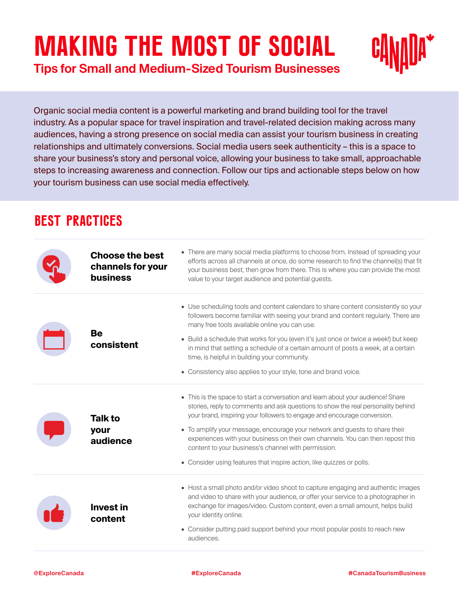# **Making the Most of Social**

**Tips for Small and Medium-Sized Tourism Businesses**

Organic social media content is a powerful marketing and brand building tool for the travel industry. As a popular space for travel inspiration and travel-related decision making across many audiences, having a strong presence on social media can assist your tourism business in creating relationships and ultimately conversions. Social media users seek authenticity – this is a space to share your business's story and personal voice, allowing your business to take small, approachable steps to increasing awareness and connection. Follow our tips and actionable steps below on how your tourism business can use social media effectively.

# **BEST PRACTICES**

| <b>Choose the best</b><br>channels for your<br><b>business</b> | • There are many social media platforms to choose from. Instead of spreading your<br>efforts across all channels at once, do some research to find the channel(s) that fit<br>your business best, then grow from there. This is where you can provide the most<br>value to your target audience and potential guests.                                                                                                                                                                                                                             |
|----------------------------------------------------------------|---------------------------------------------------------------------------------------------------------------------------------------------------------------------------------------------------------------------------------------------------------------------------------------------------------------------------------------------------------------------------------------------------------------------------------------------------------------------------------------------------------------------------------------------------|
| <b>Be</b><br>consistent                                        | • Use scheduling tools and content calendars to share content consistently so your<br>followers become familiar with seeing your brand and content regularly. There are<br>many free tools available online you can use.<br>• Build a schedule that works for you (even it's just once or twice a week!) but keep<br>in mind that setting a schedule of a certain amount of posts a week, at a certain<br>time, is helpful in building your community.                                                                                            |
|                                                                | • Consistency also applies to your style, tone and brand voice.                                                                                                                                                                                                                                                                                                                                                                                                                                                                                   |
| <b>Talk to</b><br>your<br>audience                             | • This is the space to start a conversation and learn about your audience! Share<br>stories, reply to comments and ask questions to show the real personality behind<br>your brand, inspiring your followers to engage and encourage conversion.<br>• To amplify your message, encourage your network and guests to share their<br>experiences with your business on their own channels. You can then repost this<br>content to your business's channel with permission.<br>• Consider using features that inspire action, like quizzes or polls. |
| <b>Invest in</b><br>content                                    | • Host a small photo and/or video shoot to capture engaging and authentic images<br>and video to share with your audience, or offer your service to a photographer in<br>exchange for images/video. Custom content, even a small amount, helps build<br>your identity online.<br>• Consider putting paid support behind your most popular posts to reach new<br>audiences.                                                                                                                                                                        |